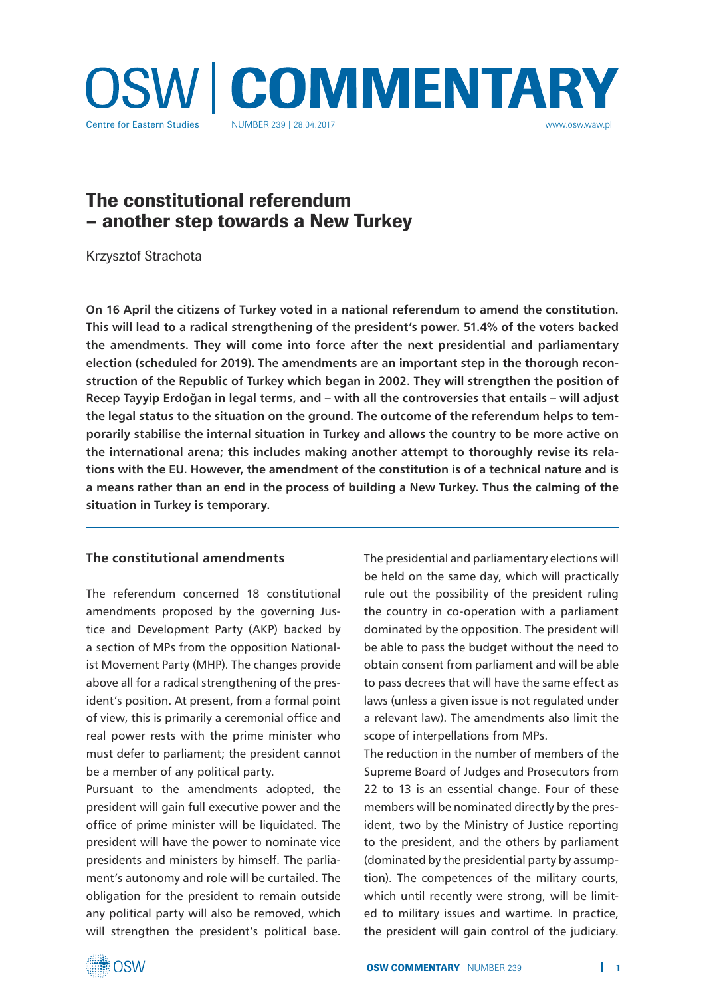

# The constitutional referendum – another step towards a New Turkey

Krzysztof Strachota

**On 16 April the citizens of Turkey voted in a national referendum to amend the constitution. This will lead to a radical strengthening of the president's power. 51.4% of the voters backed the amendments. They will come into force after the next presidential and parliamentary election (scheduled for 2019). The amendments are an important step in the thorough reconstruction of the Republic of Turkey which began in 2002. They will strengthen the position of Recep Tayyip Erdoğan in legal terms, and – with all the controversies that entails – will adjust the legal status to the situation on the ground. The outcome of the referendum helps to temporarily stabilise the internal situation in Turkey and allows the country to be more active on the international arena; this includes making another attempt to thoroughly revise its relations with the EU. However, the amendment of the constitution is of a technical nature and is a means rather than an end in the process of building a New Turkey. Thus the calming of the situation in Turkey is temporary.** 

### **The constitutional amendments**

The referendum concerned 18 constitutional amendments proposed by the governing Justice and Development Party (AKP) backed by a section of MPs from the opposition Nationalist Movement Party (MHP). The changes provide above all for a radical strengthening of the president's position. At present, from a formal point of view, this is primarily a ceremonial office and real power rests with the prime minister who must defer to parliament; the president cannot be a member of any political party.

Pursuant to the amendments adopted, the president will gain full executive power and the office of prime minister will be liquidated. The president will have the power to nominate vice presidents and ministers by himself. The parliament's autonomy and role will be curtailed. The obligation for the president to remain outside any political party will also be removed, which will strengthen the president's political base. The presidential and parliamentary elections will be held on the same day, which will practically rule out the possibility of the president ruling the country in co-operation with a parliament dominated by the opposition. The president will be able to pass the budget without the need to obtain consent from parliament and will be able to pass decrees that will have the same effect as laws (unless a given issue is not regulated under a relevant law). The amendments also limit the scope of interpellations from MPs.

The reduction in the number of members of the Supreme Board of Judges and Prosecutors from 22 to 13 is an essential change. Four of these members will be nominated directly by the president, two by the Ministry of Justice reporting to the president, and the others by parliament (dominated by the presidential party by assumption). The competences of the military courts, which until recently were strong, will be limited to military issues and wartime. In practice, the president will gain control of the judiciary.

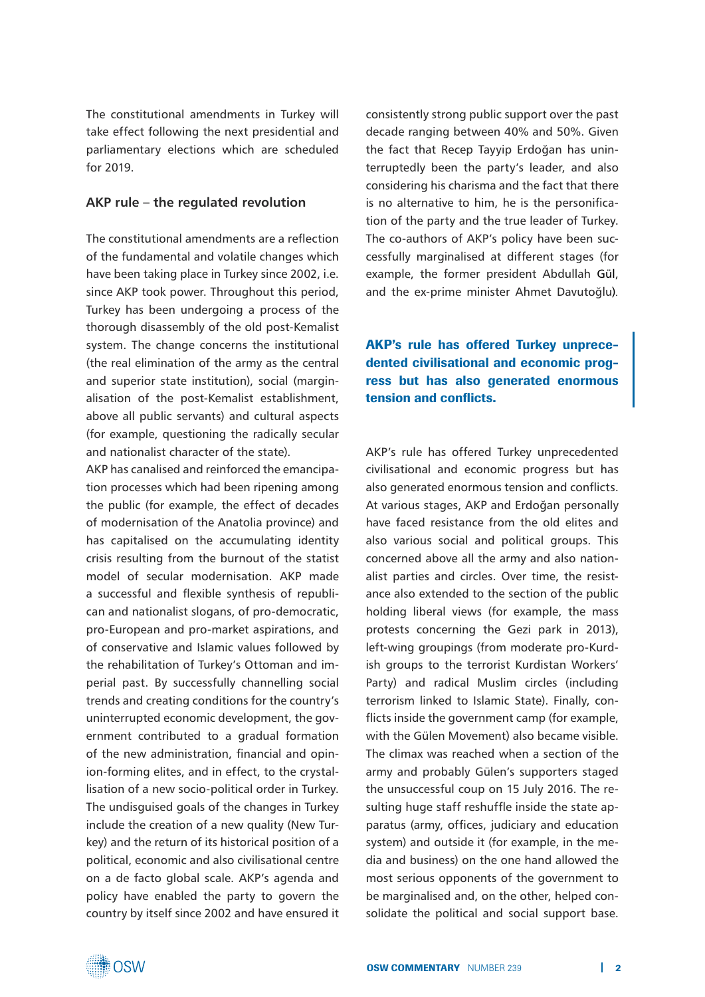The constitutional amendments in Turkey will take effect following the next presidential and parliamentary elections which are scheduled for 2019.

#### **AKP rule – the regulated revolution**

The constitutional amendments are a reflection of the fundamental and volatile changes which have been taking place in Turkey since 2002, i.e. since AKP took power. Throughout this period, Turkey has been undergoing a process of the thorough disassembly of the old post-Kemalist system. The change concerns the institutional (the real elimination of the army as the central and superior state institution), social (marginalisation of the post-Kemalist establishment, above all public servants) and cultural aspects (for example, questioning the radically secular and nationalist character of the state).

AKP has canalised and reinforced the emancipation processes which had been ripening among the public (for example, the effect of decades of modernisation of the Anatolia province) and has capitalised on the accumulating identity crisis resulting from the burnout of the statist model of secular modernisation. AKP made a successful and flexible synthesis of republican and nationalist slogans, of pro-democratic, pro-European and pro-market aspirations, and of conservative and Islamic values followed by the rehabilitation of Turkey's Ottoman and imperial past. By successfully channelling social trends and creating conditions for the country's uninterrupted economic development, the government contributed to a gradual formation of the new administration, financial and opinion-forming elites, and in effect, to the crystallisation of a new socio-political order in Turkey. The undisguised goals of the changes in Turkey include the creation of a new quality (New Turkey) and the return of its historical position of a political, economic and also civilisational centre on a de facto global scale. AKP's agenda and policy have enabled the party to govern the country by itself since 2002 and have ensured it consistently strong public support over the past decade ranging between 40% and 50%. Given the fact that Recep Tayyip Erdoğan has uninterruptedly been the party's leader, and also considering his charisma and the fact that there is no alternative to him, he is the personification of the party and the true leader of Turkey. The co-authors of AKP's policy have been successfully marginalised at different stages (for example, the former president Abdullah Gül, and the ex-prime minister Ahmet Davutoğlu)*.*

AKP's rule has offered Turkey unprecedented civilisational and economic progress but has also generated enormous tension and conflicts.

AKP's rule has offered Turkey unprecedented civilisational and economic progress but has also generated enormous tension and conflicts. At various stages, AKP and Erdoğan personally have faced resistance from the old elites and also various social and political groups. This concerned above all the army and also nationalist parties and circles. Over time, the resistance also extended to the section of the public holding liberal views (for example, the mass protests concerning the Gezi park in 2013), left-wing groupings (from moderate pro-Kurdish groups to the terrorist Kurdistan Workers' Party) and radical Muslim circles (including terrorism linked to Islamic State). Finally, conflicts inside the government camp (for example, with the Gülen Movement) also became visible. The climax was reached when a section of the army and probably Gülen's supporters staged the unsuccessful coup on 15 July 2016. The resulting huge staff reshuffle inside the state apparatus (army, offices, judiciary and education system) and outside it (for example, in the media and business) on the one hand allowed the most serious opponents of the government to be marginalised and, on the other, helped consolidate the political and social support base.

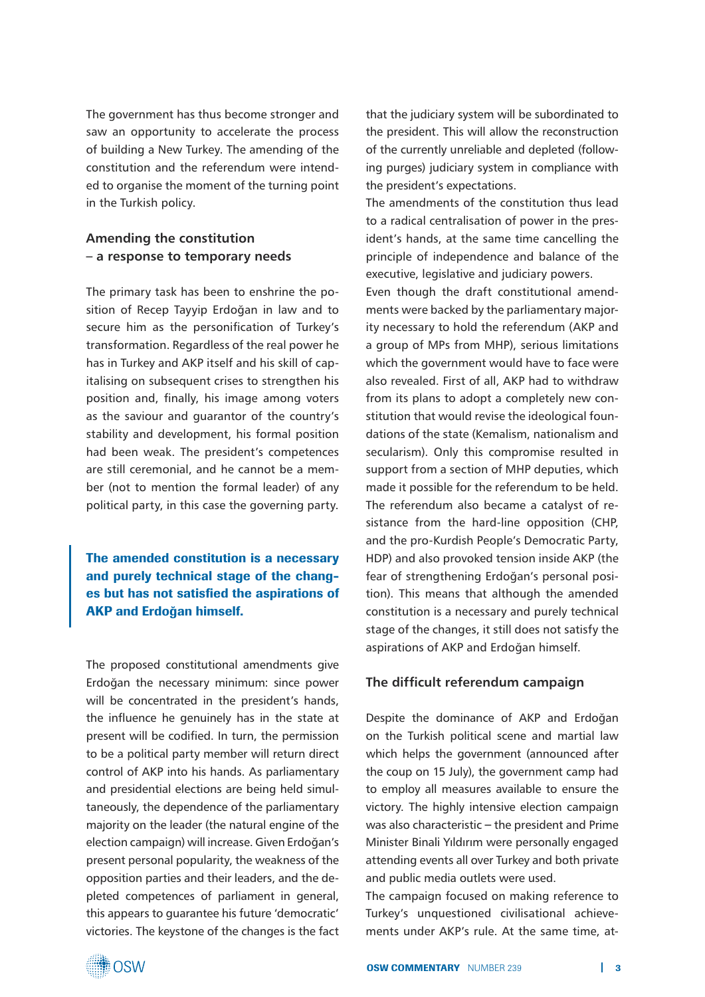The government has thus become stronger and saw an opportunity to accelerate the process of building a New Turkey. The amending of the constitution and the referendum were intended to organise the moment of the turning point in the Turkish policy.

# **Amending the constitution – a response to temporary needs**

The primary task has been to enshrine the position of Recep Tayyip Erdoğan in law and to secure him as the personification of Turkey's transformation. Regardless of the real power he has in Turkey and AKP itself and his skill of capitalising on subsequent crises to strengthen his position and, finally, his image among voters as the saviour and guarantor of the country's stability and development, his formal position had been weak. The president's competences are still ceremonial, and he cannot be a member (not to mention the formal leader) of any political party, in this case the governing party.

The amended constitution is a necessary and purely technical stage of the changes but has not satisfied the aspirations of AKP and Erdoğan himself.

The proposed constitutional amendments give Erdoğan the necessary minimum: since power will be concentrated in the president's hands, the influence he genuinely has in the state at present will be codified. In turn, the permission to be a political party member will return direct control of AKP into his hands. As parliamentary and presidential elections are being held simultaneously, the dependence of the parliamentary majority on the leader (the natural engine of the election campaign) will increase. Given Erdoğan's present personal popularity, the weakness of the opposition parties and their leaders, and the depleted competences of parliament in general, this appears to guarantee his future 'democratic' victories. The keystone of the changes is the fact

that the judiciary system will be subordinated to the president. This will allow the reconstruction of the currently unreliable and depleted (following purges) judiciary system in compliance with the president's expectations.

The amendments of the constitution thus lead to a radical centralisation of power in the president's hands, at the same time cancelling the principle of independence and balance of the executive, legislative and judiciary powers.

Even though the draft constitutional amendments were backed by the parliamentary majority necessary to hold the referendum (AKP and a group of MPs from MHP), serious limitations which the government would have to face were also revealed. First of all, AKP had to withdraw from its plans to adopt a completely new constitution that would revise the ideological foundations of the state (Kemalism, nationalism and secularism). Only this compromise resulted in support from a section of MHP deputies, which made it possible for the referendum to be held. The referendum also became a catalyst of resistance from the hard-line opposition (CHP, and the pro-Kurdish People's Democratic Party, HDP) and also provoked tension inside AKP (the fear of strengthening Erdoğan's personal position). This means that although the amended constitution is a necessary and purely technical stage of the changes, it still does not satisfy the aspirations of AKP and Erdoğan himself.

### **The difficult referendum campaign**

Despite the dominance of AKP and Erdoğan on the Turkish political scene and martial law which helps the government (announced after the coup on 15 July), the government camp had to employ all measures available to ensure the victory. The highly intensive election campaign was also characteristic **–** the president and Prime Minister Binali Yıldırım were personally engaged attending events all over Turkey and both private and public media outlets were used.

The campaign focused on making reference to Turkey's unquestioned civilisational achievements under AKP's rule. At the same time, at-

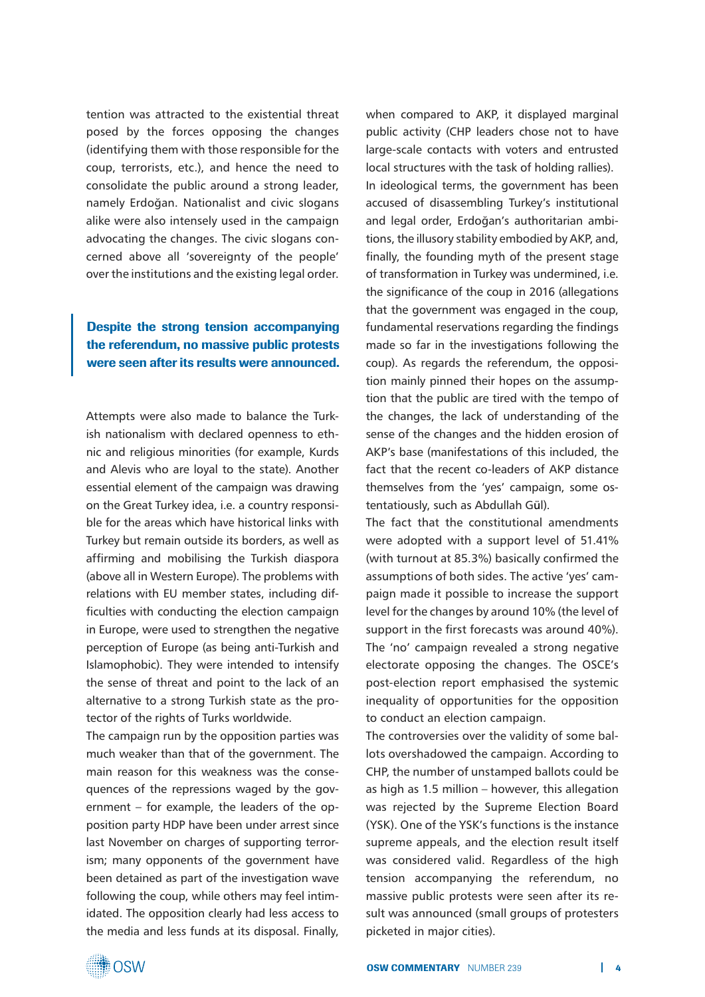tention was attracted to the existential threat posed by the forces opposing the changes (identifying them with those responsible for the coup, terrorists, etc.), and hence the need to consolidate the public around a strong leader, namely Erdoğan. Nationalist and civic slogans alike were also intensely used in the campaign advocating the changes. The civic slogans concerned above all 'sovereignty of the people' over the institutions and the existing legal order.

# Despite the strong tension accompanying the referendum, no massive public protests were seen after its results were announced.

Attempts were also made to balance the Turkish nationalism with declared openness to ethnic and religious minorities (for example, Kurds and Alevis who are loyal to the state). Another essential element of the campaign was drawing on the Great Turkey idea, i.e. a country responsible for the areas which have historical links with Turkey but remain outside its borders, as well as affirming and mobilising the Turkish diaspora (above all in Western Europe). The problems with relations with EU member states, including difficulties with conducting the election campaign in Europe, were used to strengthen the negative perception of Europe (as being anti-Turkish and Islamophobic). They were intended to intensify the sense of threat and point to the lack of an alternative to a strong Turkish state as the protector of the rights of Turks worldwide.

The campaign run by the opposition parties was much weaker than that of the government. The main reason for this weakness was the consequences of the repressions waged by the government – for example, the leaders of the opposition party HDP have been under arrest since last November on charges of supporting terrorism; many opponents of the government have been detained as part of the investigation wave following the coup, while others may feel intimidated. The opposition clearly had less access to the media and less funds at its disposal. Finally, when compared to AKP, it displayed marginal public activity (CHP leaders chose not to have large-scale contacts with voters and entrusted local structures with the task of holding rallies). In ideological terms, the government has been accused of disassembling Turkey's institutional and legal order, Erdoğan's authoritarian ambitions, the illusory stability embodied by AKP, and, finally, the founding myth of the present stage of transformation in Turkey was undermined, i.e. the significance of the coup in 2016 (allegations that the government was engaged in the coup, fundamental reservations regarding the findings made so far in the investigations following the coup). As regards the referendum, the opposition mainly pinned their hopes on the assumption that the public are tired with the tempo of the changes, the lack of understanding of the sense of the changes and the hidden erosion of AKP's base (manifestations of this included, the fact that the recent co-leaders of AKP distance themselves from the 'yes' campaign, some ostentatiously, such as Abdullah Gül).

The fact that the constitutional amendments were adopted with a support level of 51.41% (with turnout at 85.3%) basically confirmed the assumptions of both sides. The active 'yes' campaign made it possible to increase the support level for the changes by around 10% (the level of support in the first forecasts was around 40%). The 'no' campaign revealed a strong negative electorate opposing the changes. The OSCE's post-election report emphasised the systemic inequality of opportunities for the opposition to conduct an election campaign.

The controversies over the validity of some ballots overshadowed the campaign. According to CHP, the number of unstamped ballots could be as high as 1.5 million – however, this allegation was rejected by the Supreme Election Board (YSK). One of the YSK's functions is the instance supreme appeals, and the election result itself was considered valid. Regardless of the high tension accompanying the referendum, no massive public protests were seen after its result was announced (small groups of protesters picketed in major cities).

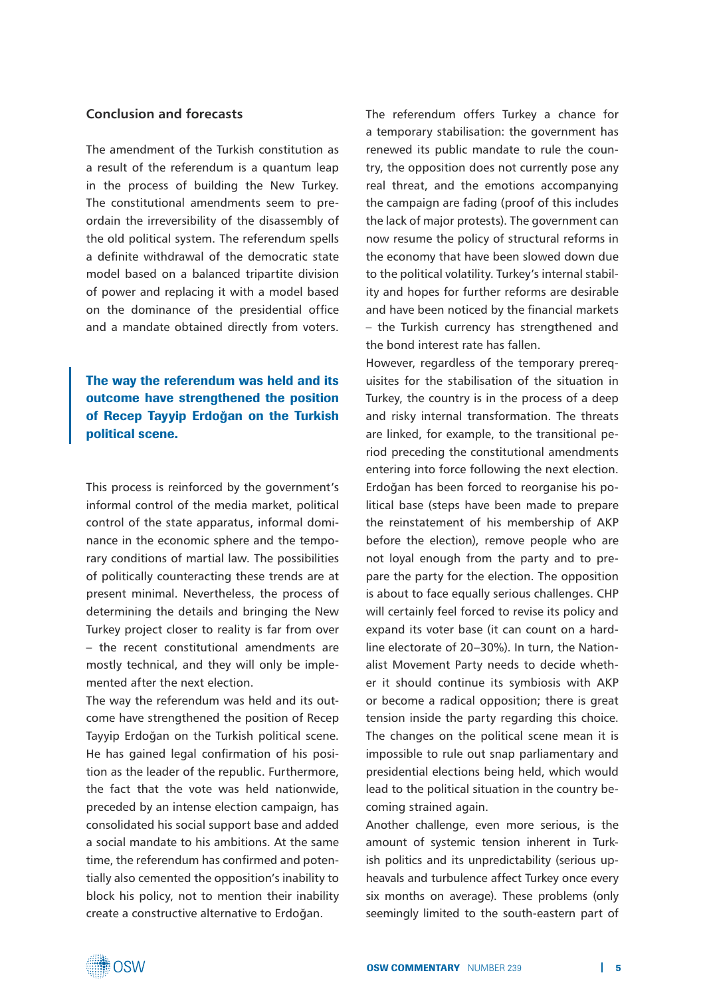## **Conclusion and forecasts**

The amendment of the Turkish constitution as a result of the referendum is a quantum leap in the process of building the New Turkey. The constitutional amendments seem to preordain the irreversibility of the disassembly of the old political system. The referendum spells a definite withdrawal of the democratic state model based on a balanced tripartite division of power and replacing it with a model based on the dominance of the presidential office and a mandate obtained directly from voters.

The way the referendum was held and its outcome have strengthened the position of Recep Tayyip Erdoğan on the Turkish political scene.

This process is reinforced by the government's informal control of the media market, political control of the state apparatus, informal dominance in the economic sphere and the temporary conditions of martial law. The possibilities of politically counteracting these trends are at present minimal. Nevertheless, the process of determining the details and bringing the New Turkey project closer to reality is far from over – the recent constitutional amendments are mostly technical, and they will only be implemented after the next election.

The way the referendum was held and its outcome have strengthened the position of Recep Tayyip Erdoğan on the Turkish political scene. He has gained legal confirmation of his position as the leader of the republic. Furthermore, the fact that the vote was held nationwide, preceded by an intense election campaign, has consolidated his social support base and added a social mandate to his ambitions. At the same time, the referendum has confirmed and potentially also cemented the opposition's inability to block his policy, not to mention their inability create a constructive alternative to Erdoğan.

The referendum offers Turkey a chance for a temporary stabilisation: the government has renewed its public mandate to rule the country, the opposition does not currently pose any real threat, and the emotions accompanying the campaign are fading (proof of this includes the lack of major protests). The government can now resume the policy of structural reforms in the economy that have been slowed down due to the political volatility. Turkey's internal stability and hopes for further reforms are desirable and have been noticed by the financial markets – the Turkish currency has strengthened and the bond interest rate has fallen.

However, regardless of the temporary prerequisites for the stabilisation of the situation in Turkey, the country is in the process of a deep and risky internal transformation. The threats are linked, for example, to the transitional period preceding the constitutional amendments entering into force following the next election. Erdoğan has been forced to reorganise his political base (steps have been made to prepare the reinstatement of his membership of AKP before the election), remove people who are not loyal enough from the party and to prepare the party for the election. The opposition is about to face equally serious challenges. CHP will certainly feel forced to revise its policy and expand its voter base (it can count on a hardline electorate of 20–30%). In turn, the Nationalist Movement Party needs to decide whether it should continue its symbiosis with AKP or become a radical opposition; there is great tension inside the party regarding this choice. The changes on the political scene mean it is impossible to rule out snap parliamentary and presidential elections being held, which would lead to the political situation in the country becoming strained again.

Another challenge, even more serious, is the amount of systemic tension inherent in Turkish politics and its unpredictability (serious upheavals and turbulence affect Turkey once every six months on average). These problems (only seemingly limited to the south-eastern part of